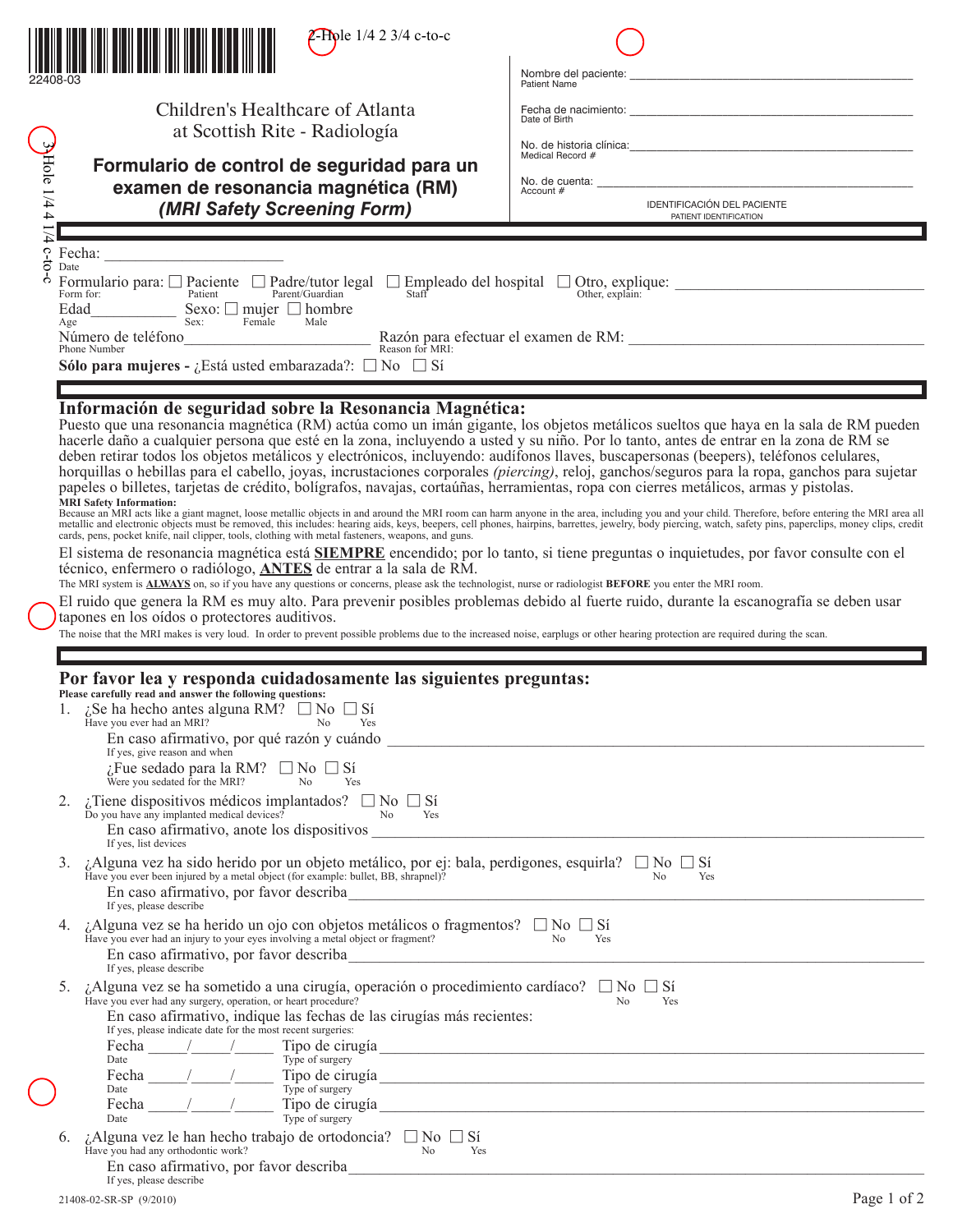|                                          |                                                                                                                                                                                                                                                                                                                                                                                                                                                                 | <b>Z-Hole</b> $1/4$ 2 3/4 c-to-c                                                                                                                                                                                                                                                                                                                                                                                                                                                                                                                                                                                                                                                                                                                                                                                                                                                                                                                                                                                                                                                                                                                                                                                                                                                                                                                                                                                                                                                                                                                                                                                                                                                                                                                                                                                       | Nombre del paciente:<br><b>Patient Name</b>                                          |  |  |  |
|------------------------------------------|-----------------------------------------------------------------------------------------------------------------------------------------------------------------------------------------------------------------------------------------------------------------------------------------------------------------------------------------------------------------------------------------------------------------------------------------------------------------|------------------------------------------------------------------------------------------------------------------------------------------------------------------------------------------------------------------------------------------------------------------------------------------------------------------------------------------------------------------------------------------------------------------------------------------------------------------------------------------------------------------------------------------------------------------------------------------------------------------------------------------------------------------------------------------------------------------------------------------------------------------------------------------------------------------------------------------------------------------------------------------------------------------------------------------------------------------------------------------------------------------------------------------------------------------------------------------------------------------------------------------------------------------------------------------------------------------------------------------------------------------------------------------------------------------------------------------------------------------------------------------------------------------------------------------------------------------------------------------------------------------------------------------------------------------------------------------------------------------------------------------------------------------------------------------------------------------------------------------------------------------------------------------------------------------------|--------------------------------------------------------------------------------------|--|--|--|
|                                          | Children's Healthcare of Atlanta<br>at Scottish Rite - Radiología<br>Formulario de control de seguridad para un                                                                                                                                                                                                                                                                                                                                                 |                                                                                                                                                                                                                                                                                                                                                                                                                                                                                                                                                                                                                                                                                                                                                                                                                                                                                                                                                                                                                                                                                                                                                                                                                                                                                                                                                                                                                                                                                                                                                                                                                                                                                                                                                                                                                        | Date of Birth<br>Medical Record #                                                    |  |  |  |
| $\frac{3}{2}$ Hole 1/4 4 $\frac{7}{1/4}$ |                                                                                                                                                                                                                                                                                                                                                                                                                                                                 | examen de resonancia magnética (RM)<br>(MRI Safety Screening Form)                                                                                                                                                                                                                                                                                                                                                                                                                                                                                                                                                                                                                                                                                                                                                                                                                                                                                                                                                                                                                                                                                                                                                                                                                                                                                                                                                                                                                                                                                                                                                                                                                                                                                                                                                     | No. de cuenta:<br>Account #<br>IDENTIFICACIÓN DEL PACIENTE<br>PATIENT IDENTIFICATION |  |  |  |
| $c$ -to<br>ငှ                            | Date<br>Formulario para: $\Box$ Paciente $\Box$ Padre/tutor legal $\Box$ Empleado del hospital $\Box$ Otro, explique:<br>Parent/Guardian<br>Other, explain:<br>Patient<br>Staff <sup>*</sup><br>Form for:<br>Edad<br>Sexo: $\Box$ mujer $\Box$ hombre<br>Sex: Female<br>Male<br>Age<br>Razón para efectuar el examen de RM:<br>Reason for MRI:<br>Número de teléfono<br>Phone Number<br><b>Sólo para mujeres -</b> ¿Está usted embarazada?: $\Box$ No $\Box$ Sí |                                                                                                                                                                                                                                                                                                                                                                                                                                                                                                                                                                                                                                                                                                                                                                                                                                                                                                                                                                                                                                                                                                                                                                                                                                                                                                                                                                                                                                                                                                                                                                                                                                                                                                                                                                                                                        |                                                                                      |  |  |  |
|                                          |                                                                                                                                                                                                                                                                                                                                                                                                                                                                 | Información de seguridad sobre la Resonancia Magnética:<br>Puesto que una resonancia magnética (RM) actúa como un imán gigante, los objetos metálicos sueltos que haya en la sala de RM pueden<br>hacerle daño a cualquier persona que esté en la zona, incluyendo a usted y su niño. Por lo tanto, antes de entrar en la zona de RM se<br>deben retirar todos los objetos metálicos y electrónicos, incluyendo: audífonos llaves, buscapersonas (beepers), teléfonos celulares,<br>horquillas o hebillas para el cabello, joyas, incrustaciones corporales (piercing), reloj, ganchos/seguros para la ropa, ganchos para sujetar<br>papeles o billetes, tarjetas de crédito, bolígrafos, navajas, cortaúñas, herramientas, ropa con cierres metálicos, armas y pistolas.<br><b>MRI Safety Information:</b><br>Because an MRI acts like a giant magnet, loose metallic objects in and around the MRI room can harm anyone in the area, including you and your child. Therefore, before entering the MRI area all metallic and electronic obje<br>El sistema de resonancia magnética está <b>SIEMPRE</b> encendido; por lo tanto, si tiene preguntas o inquietudes, por favor consulte con el<br>técnico, enfermero o radiólogo, <b>ANTES</b> de entrar a la sala de RM.<br>The MRI system is <b>ALWAYS</b> on, so if you have any questions or concerns, please ask the technologist, nurse or radiologist BEFORE you enter the MRI room.<br>El ruido que genera la RM es muy alto. Para prevenir posibles problemas debido al fuerte ruido, durante la escanografía se deben usar<br>tapones en los oídos o protectores auditivos.<br>The noise that the MRI makes is very loud. In order to prevent possible problems due to the increased noise, earplugs or other hearing protection are required during the scan. |                                                                                      |  |  |  |
|                                          |                                                                                                                                                                                                                                                                                                                                                                                                                                                                 | Por favor lea y responda cuidadosamente las siguientes preguntas:<br>Please carefully read and answer the following questions:<br>1. ¿Se ha hecho antes alguna RM? $\Box$ No $\Box$ Si<br>Have you ever had an MRI? $G \rightarrow 100$ No Yes<br>En caso afirmativo, por qué razón y cuándo<br>If yes, give reason and when<br>$i$ Fue sedado para la RM? $\Box$ No $\Box$ Sí<br>Were you sedated for the MRI?<br>No<br>Yes                                                                                                                                                                                                                                                                                                                                                                                                                                                                                                                                                                                                                                                                                                                                                                                                                                                                                                                                                                                                                                                                                                                                                                                                                                                                                                                                                                                           |                                                                                      |  |  |  |
|                                          |                                                                                                                                                                                                                                                                                                                                                                                                                                                                 | 2. ¿Tiene dispositivos médicos implantados? $\Box$ No $\Box$ Si<br>Do you have any implanted medical devices?<br>No<br>Yes<br>If yes, list devices                                                                                                                                                                                                                                                                                                                                                                                                                                                                                                                                                                                                                                                                                                                                                                                                                                                                                                                                                                                                                                                                                                                                                                                                                                                                                                                                                                                                                                                                                                                                                                                                                                                                     |                                                                                      |  |  |  |
|                                          | 3.                                                                                                                                                                                                                                                                                                                                                                                                                                                              | ¿Alguna vez ha sido herido por un objeto metálico, por ej: bala, perdigones, esquirla? $\Box$ No $\Box$ Si<br>Have you ever been injured by a metal object (for example: bullet, BB, shrapnel)?<br>N <sub>o</sub><br>Yes<br>$P(X, B, Shrapnel)$ / $P(X, B, Shrapnel)$ / $P(X, B, Shrapnel)$ / $P(X, B, Shrapnel)$ / $P(X, B, Shrapnel)$ / $P(X, B, Shrapnel)$ / $P(X, B, Shrapnel)$ / $P(X, B, Shrapnel)$ / $P(X, B, Shrapnel)$ / $P(X, B, Shrapnel)$ / $P(X, B, Shrapnel)$ / $P(X, B, Shrapnel)$ / $P(X, B, Shrapnel)$ / $P(X, B, Shrapnel)$ / $P(X, B, Shrapnel)$<br>En caso afirmativo, por favor describa<br>If yes, please describe                                                                                                                                                                                                                                                                                                                                                                                                                                                                                                                                                                                                                                                                                                                                                                                                                                                                                                                                                                                                                                                                                                                                                                               |                                                                                      |  |  |  |
|                                          |                                                                                                                                                                                                                                                                                                                                                                                                                                                                 | ¿Alguna vez se ha herido un ojo con objetos metálicos o fragmentos? $\Box$ No $\Box$ Si<br>Have you ever had an injury to your eyes involving a metal object or fragment?<br>No<br>Yes<br>En caso afirmativo, por favor describa<br>If yes, please describe                                                                                                                                                                                                                                                                                                                                                                                                                                                                                                                                                                                                                                                                                                                                                                                                                                                                                                                                                                                                                                                                                                                                                                                                                                                                                                                                                                                                                                                                                                                                                            |                                                                                      |  |  |  |
|                                          |                                                                                                                                                                                                                                                                                                                                                                                                                                                                 | 5. ¿Alguna vez se ha sometido a una cirugía, operación o procedimiento cardíaco? $\Box$ No $\Box$ Sí<br>Have you ever had any surgery, operation, or heart procedure?<br>En caso afirmativo, indique las fechas de las cirugías más recientes:<br>If yes, please indicate date for the most recent surgeries:<br>Fecha $\frac{\ }{\mathrm{Date}}$ $\frac{\ }{\mathrm{Type of surgery}}$ $\frac{\ }{\mathrm{Type of surgery}}$                                                                                                                                                                                                                                                                                                                                                                                                                                                                                                                                                                                                                                                                                                                                                                                                                                                                                                                                                                                                                                                                                                                                                                                                                                                                                                                                                                                          | N <sub>0</sub><br>Yes                                                                |  |  |  |
|                                          |                                                                                                                                                                                                                                                                                                                                                                                                                                                                 | Fecha<br>Type of surgery<br>Date<br>Fecha<br>Date                                                                                                                                                                                                                                                                                                                                                                                                                                                                                                                                                                                                                                                                                                                                                                                                                                                                                                                                                                                                                                                                                                                                                                                                                                                                                                                                                                                                                                                                                                                                                                                                                                                                                                                                                                      | $\frac{1}{2}$ Tipo de cirugía                                                        |  |  |  |
|                                          |                                                                                                                                                                                                                                                                                                                                                                                                                                                                 | ¿Alguna vez le han hecho trabajo de ortodoncia? $\Box$ No $\Box$ Si<br>Have you had any orthodontic work?<br>e you had any orthodontic work?<br>En caso afirmativo, por favor describa No Nes<br>If yes, please describe                                                                                                                                                                                                                                                                                                                                                                                                                                                                                                                                                                                                                                                                                                                                                                                                                                                                                                                                                                                                                                                                                                                                                                                                                                                                                                                                                                                                                                                                                                                                                                                               |                                                                                      |  |  |  |
|                                          |                                                                                                                                                                                                                                                                                                                                                                                                                                                                 | 21408-02-SR-SP (9/2010)                                                                                                                                                                                                                                                                                                                                                                                                                                                                                                                                                                                                                                                                                                                                                                                                                                                                                                                                                                                                                                                                                                                                                                                                                                                                                                                                                                                                                                                                                                                                                                                                                                                                                                                                                                                                | Page 1 of 2                                                                          |  |  |  |